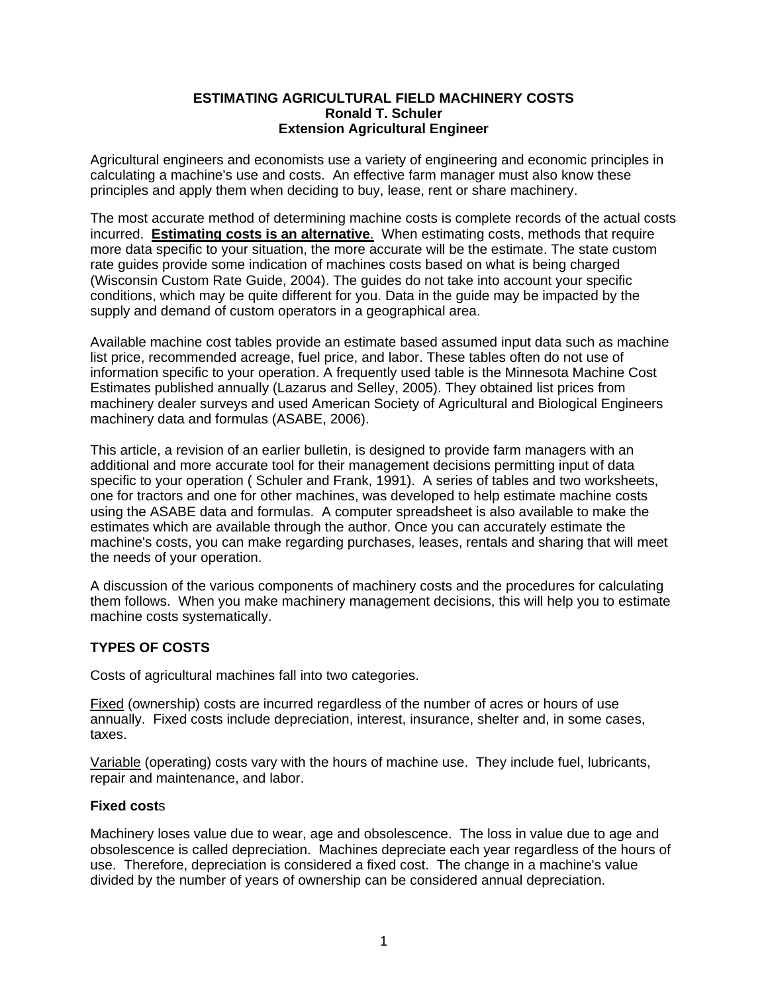### **ESTIMATING AGRICULTURAL FIELD MACHINERY COSTS Ronald T. Schuler Extension Agricultural Engineer**

Agricultural engineers and economists use a variety of engineering and economic principles in calculating a machine's use and costs. An effective farm manager must also know these principles and apply them when deciding to buy, lease, rent or share machinery.

The most accurate method of determining machine costs is complete records of the actual costs incurred. **Estimating costs is an alternative**. When estimating costs, methods that require more data specific to your situation, the more accurate will be the estimate. The state custom rate guides provide some indication of machines costs based on what is being charged (Wisconsin Custom Rate Guide, 2004). The guides do not take into account your specific conditions, which may be quite different for you. Data in the guide may be impacted by the supply and demand of custom operators in a geographical area.

Available machine cost tables provide an estimate based assumed input data such as machine list price, recommended acreage, fuel price, and labor. These tables often do not use of information specific to your operation. A frequently used table is the Minnesota Machine Cost Estimates published annually (Lazarus and Selley, 2005). They obtained list prices from machinery dealer surveys and used American Society of Agricultural and Biological Engineers machinery data and formulas (ASABE, 2006).

This article, a revision of an earlier bulletin, is designed to provide farm managers with an additional and more accurate tool for their management decisions permitting input of data specific to your operation ( Schuler and Frank, 1991). A series of tables and two worksheets, one for tractors and one for other machines, was developed to help estimate machine costs using the ASABE data and formulas. A computer spreadsheet is also available to make the estimates which are available through the author. Once you can accurately estimate the machine's costs, you can make regarding purchases, leases, rentals and sharing that will meet the needs of your operation.

A discussion of the various components of machinery costs and the procedures for calculating them follows. When you make machinery management decisions, this will help you to estimate machine costs systematically.

# **TYPES OF COSTS**

Costs of agricultural machines fall into two categories.

Fixed (ownership) costs are incurred regardless of the number of acres or hours of use annually. Fixed costs include depreciation, interest, insurance, shelter and, in some cases, taxes.

Variable (operating) costs vary with the hours of machine use. They include fuel, lubricants, repair and maintenance, and labor.

### **Fixed cost**s

Machinery loses value due to wear, age and obsolescence. The loss in value due to age and obsolescence is called depreciation. Machines depreciate each year regardless of the hours of use. Therefore, depreciation is considered a fixed cost. The change in a machine's value divided by the number of years of ownership can be considered annual depreciation.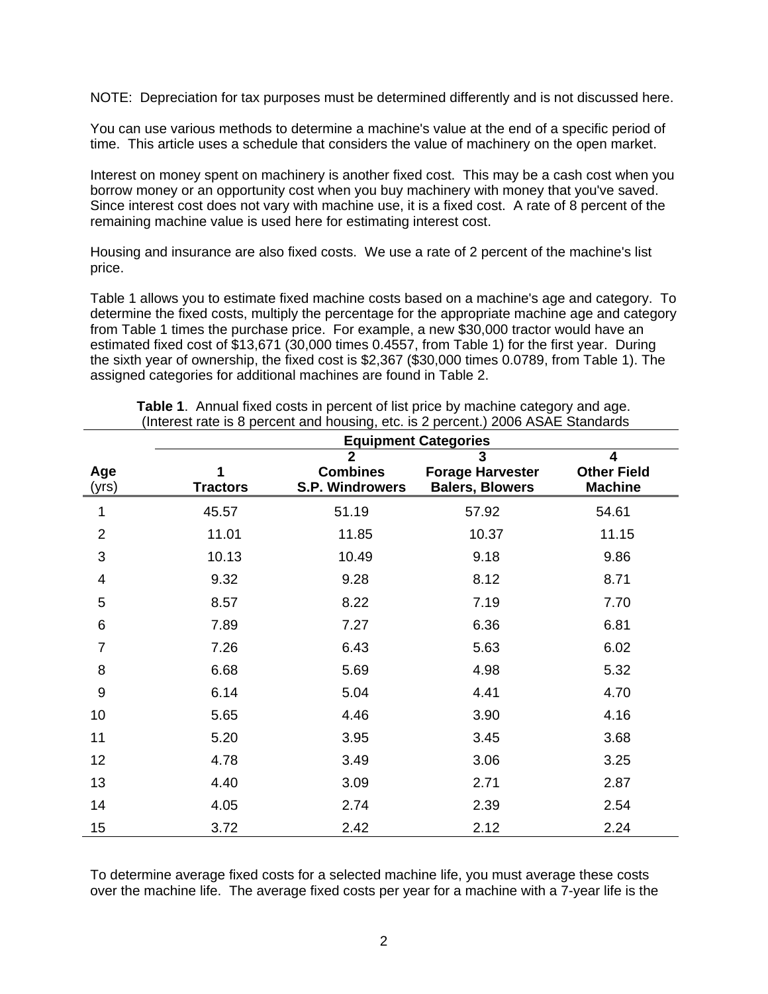NOTE: Depreciation for tax purposes must be determined differently and is not discussed here.

You can use various methods to determine a machine's value at the end of a specific period of time. This article uses a schedule that considers the value of machinery on the open market.

Interest on money spent on machinery is another fixed cost. This may be a cash cost when you borrow money or an opportunity cost when you buy machinery with money that you've saved. Since interest cost does not vary with machine use, it is a fixed cost. A rate of 8 percent of the remaining machine value is used here for estimating interest cost.

Housing and insurance are also fixed costs. We use a rate of 2 percent of the machine's list price.

Table 1 allows you to estimate fixed machine costs based on a machine's age and category. To determine the fixed costs, multiply the percentage for the appropriate machine age and category from Table 1 times the purchase price. For example, a new \$30,000 tractor would have an estimated fixed cost of \$13,671 (30,000 times 0.4557, from Table 1) for the first year. During the sixth year of ownership, the fixed cost is \$2,367 (\$30,000 times 0.0789, from Table 1). The assigned categories for additional machines are found in Table 2.

|                  | <b>Equipment Categories</b> |                                                      |                                                        |                                           |
|------------------|-----------------------------|------------------------------------------------------|--------------------------------------------------------|-------------------------------------------|
| Age<br>(yrs)     | <b>Tractors</b>             | $\overline{2}$<br><b>Combines</b><br>S.P. Windrowers | 3<br><b>Forage Harvester</b><br><b>Balers, Blowers</b> | 4<br><b>Other Field</b><br><b>Machine</b> |
| 1                | 45.57                       | 51.19                                                | 57.92                                                  | 54.61                                     |
| $\overline{2}$   | 11.01                       | 11.85                                                | 10.37                                                  | 11.15                                     |
| 3                | 10.13                       | 10.49                                                | 9.18                                                   | 9.86                                      |
| 4                | 9.32                        | 9.28                                                 | 8.12                                                   | 8.71                                      |
| 5                | 8.57                        | 8.22                                                 | 7.19                                                   | 7.70                                      |
| 6                | 7.89                        | 7.27                                                 | 6.36                                                   | 6.81                                      |
| 7                | 7.26                        | 6.43                                                 | 5.63                                                   | 6.02                                      |
| 8                | 6.68                        | 5.69                                                 | 4.98                                                   | 5.32                                      |
| $\boldsymbol{9}$ | 6.14                        | 5.04                                                 | 4.41                                                   | 4.70                                      |
| 10               | 5.65                        | 4.46                                                 | 3.90                                                   | 4.16                                      |
| 11               | 5.20                        | 3.95                                                 | 3.45                                                   | 3.68                                      |
| 12               | 4.78                        | 3.49                                                 | 3.06                                                   | 3.25                                      |
| 13               | 4.40                        | 3.09                                                 | 2.71                                                   | 2.87                                      |
| 14               | 4.05                        | 2.74                                                 | 2.39                                                   | 2.54                                      |
| 15               | 3.72                        | 2.42                                                 | 2.12                                                   | 2.24                                      |

**Table 1**. Annual fixed costs in percent of list price by machine category and age. (Interest rate is 8 percent and housing, etc. is 2 percent.) 2006 ASAE Standards

To determine average fixed costs for a selected machine life, you must average these costs over the machine life. The average fixed costs per year for a machine with a 7-year life is the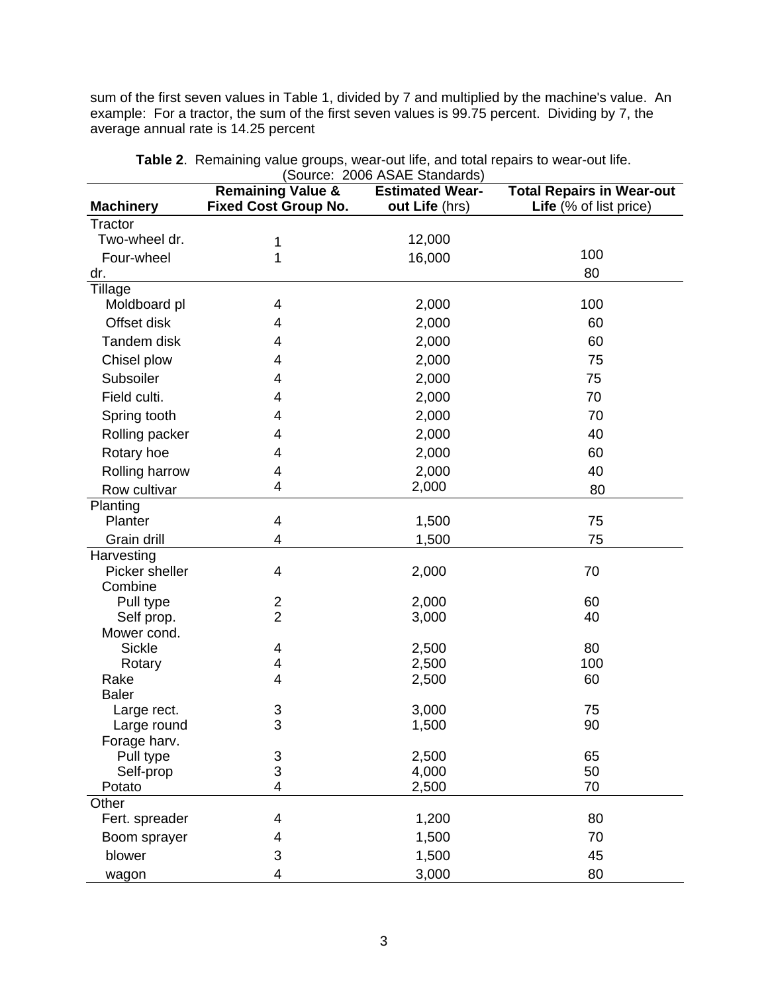sum of the first seven values in Table 1, divided by 7 and multiplied by the machine's value. An example: For a tractor, the sum of the first seven values is 99.75 percent. Dividing by 7, the average annual rate is 14.25 percent

|                          | (Source: 2006 ASAE Standards) |                        |                                  |  |  |  |
|--------------------------|-------------------------------|------------------------|----------------------------------|--|--|--|
|                          | <b>Remaining Value &amp;</b>  | <b>Estimated Wear-</b> | <b>Total Repairs in Wear-out</b> |  |  |  |
| <b>Machinery</b>         | <b>Fixed Cost Group No.</b>   | out Life (hrs)         | Life (% of list price)           |  |  |  |
| Tractor<br>Two-wheel dr. |                               |                        |                                  |  |  |  |
|                          | 1                             | 12,000                 | 100                              |  |  |  |
| Four-wheel               | 1                             | 16,000                 |                                  |  |  |  |
| dr.                      |                               |                        | 80                               |  |  |  |
| Tillage<br>Moldboard pl  | 4                             | 2,000                  | 100                              |  |  |  |
| Offset disk              |                               |                        |                                  |  |  |  |
|                          | 4                             | 2,000                  | 60                               |  |  |  |
| Tandem disk              | 4                             | 2,000                  | 60                               |  |  |  |
| Chisel plow              | 4                             | 2,000                  | 75                               |  |  |  |
| Subsoiler                | 4                             | 2,000                  | 75                               |  |  |  |
| Field culti.             | 4                             | 2,000                  | 70                               |  |  |  |
| Spring tooth             | 4                             | 2,000                  | 70                               |  |  |  |
| Rolling packer           | 4                             | 2,000                  | 40                               |  |  |  |
| Rotary hoe               | 4                             | 2,000                  | 60                               |  |  |  |
| Rolling harrow           | 4                             | 2,000                  | 40                               |  |  |  |
| Row cultivar             | 4                             | 2,000                  | 80                               |  |  |  |
| Planting                 |                               |                        |                                  |  |  |  |
| Planter                  | 4                             | 1,500                  | 75                               |  |  |  |
| Grain drill              | 4                             | 1,500                  | 75                               |  |  |  |
| Harvesting               |                               |                        |                                  |  |  |  |
| Picker sheller           | 4                             | 2,000                  | 70                               |  |  |  |
| Combine                  |                               |                        |                                  |  |  |  |
| Pull type                | 2                             | 2,000                  | 60                               |  |  |  |
| Self prop.               | $\overline{2}$                | 3,000                  | 40                               |  |  |  |
| Mower cond.              |                               |                        |                                  |  |  |  |
| <b>Sickle</b>            | 4                             | 2,500                  | 80                               |  |  |  |
| Rotary                   | 4                             | 2,500                  | 100                              |  |  |  |
| Rake                     | 4                             | 2,500                  | 60                               |  |  |  |
| <b>Baler</b>             |                               |                        |                                  |  |  |  |
| Large rect.              | 3                             | 3,000                  | 75                               |  |  |  |
| Large round              | 3                             | 1,500                  | 90                               |  |  |  |
| Forage harv.             |                               |                        |                                  |  |  |  |
| Pull type                | 3                             | 2,500                  | 65                               |  |  |  |
| Self-prop                | 3                             | 4,000                  | 50                               |  |  |  |
| Potato                   | 4                             | 2,500                  | 70                               |  |  |  |
| Other                    |                               |                        |                                  |  |  |  |
| Fert. spreader           | 4                             | 1,200                  | 80                               |  |  |  |
| Boom sprayer             | 4                             | 1,500                  | 70                               |  |  |  |
| blower                   | 3                             | 1,500                  | 45                               |  |  |  |
| wagon                    | 4                             | 3,000                  | 80                               |  |  |  |

**Table 2**. Remaining value groups, wear-out life, and total repairs to wear-out life. (Source: 2006 ASAE Standards)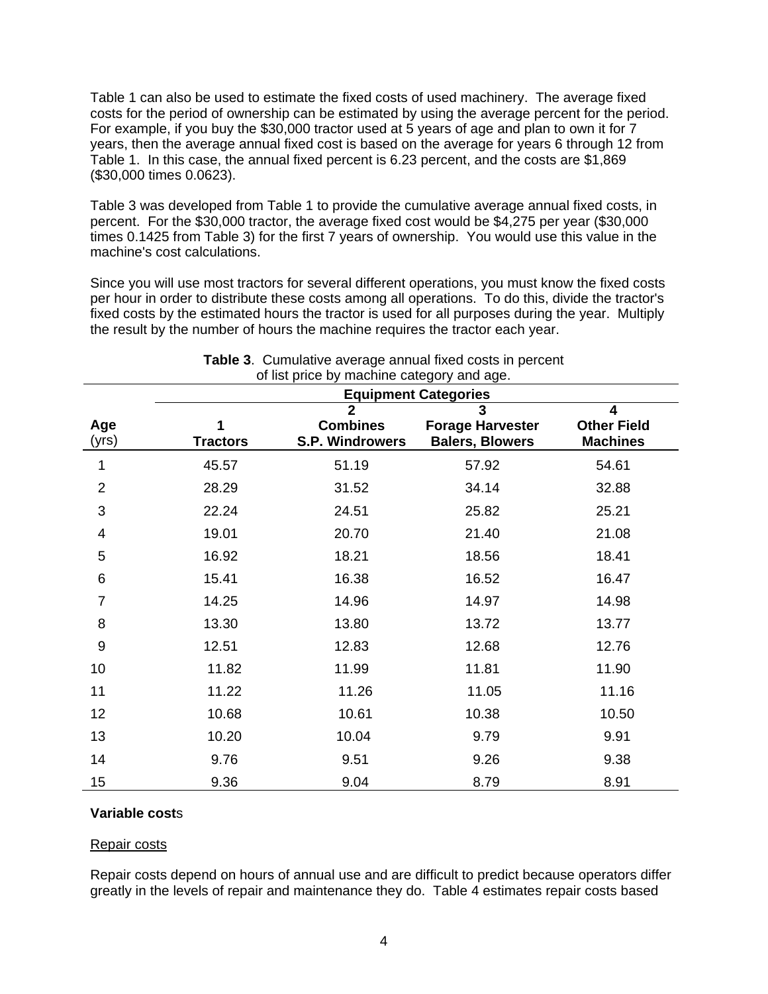Table 1 can also be used to estimate the fixed costs of used machinery. The average fixed costs for the period of ownership can be estimated by using the average percent for the period. For example, if you buy the \$30,000 tractor used at 5 years of age and plan to own it for 7 years, then the average annual fixed cost is based on the average for years 6 through 12 from Table 1. In this case, the annual fixed percent is 6.23 percent, and the costs are \$1,869 (\$30,000 times 0.0623).

Table 3 was developed from Table 1 to provide the cumulative average annual fixed costs, in percent. For the \$30,000 tractor, the average fixed cost would be \$4,275 per year (\$30,000 times 0.1425 from Table 3) for the first 7 years of ownership. You would use this value in the machine's cost calculations.

Since you will use most tractors for several different operations, you must know the fixed costs per hour in order to distribute these costs among all operations. To do this, divide the tractor's fixed costs by the estimated hours the tractor is used for all purposes during the year. Multiply the result by the number of hours the machine requires the tractor each year.

|                | <b>Equipment Categories</b> |                                                             |                                                        |                                            |  |  |
|----------------|-----------------------------|-------------------------------------------------------------|--------------------------------------------------------|--------------------------------------------|--|--|
| Age<br>(yrs)   | <b>Tractors</b>             | $\overline{2}$<br><b>Combines</b><br><b>S.P. Windrowers</b> | 3<br><b>Forage Harvester</b><br><b>Balers, Blowers</b> | 4<br><b>Other Field</b><br><b>Machines</b> |  |  |
| 1              | 45.57                       | 51.19                                                       | 57.92                                                  | 54.61                                      |  |  |
| $\overline{2}$ | 28.29                       | 31.52                                                       | 34.14                                                  | 32.88                                      |  |  |
| 3              | 22.24                       | 24.51                                                       | 25.82                                                  | 25.21                                      |  |  |
| 4              | 19.01                       | 20.70                                                       | 21.40                                                  | 21.08                                      |  |  |
| 5              | 16.92                       | 18.21                                                       | 18.56                                                  | 18.41                                      |  |  |
| $\,6$          | 15.41                       | 16.38                                                       | 16.52                                                  | 16.47                                      |  |  |
| $\overline{7}$ | 14.25                       | 14.96                                                       | 14.97                                                  | 14.98                                      |  |  |
| 8              | 13.30                       | 13.80                                                       | 13.72                                                  | 13.77                                      |  |  |
| 9              | 12.51                       | 12.83                                                       | 12.68                                                  | 12.76                                      |  |  |
| 10             | 11.82                       | 11.99                                                       | 11.81                                                  | 11.90                                      |  |  |
| 11             | 11.22                       | 11.26                                                       | 11.05                                                  | 11.16                                      |  |  |
| 12             | 10.68                       | 10.61                                                       | 10.38                                                  | 10.50                                      |  |  |
| 13             | 10.20                       | 10.04                                                       | 9.79                                                   | 9.91                                       |  |  |
| 14             | 9.76                        | 9.51                                                        | 9.26                                                   | 9.38                                       |  |  |
| 15             | 9.36                        | 9.04                                                        | 8.79                                                   | 8.91                                       |  |  |

#### **Table 3**. Cumulative average annual fixed costs in percent of list price by machine category and age.

# **Variable cost**s

### Repair costs

Repair costs depend on hours of annual use and are difficult to predict because operators differ greatly in the levels of repair and maintenance they do. Table 4 estimates repair costs based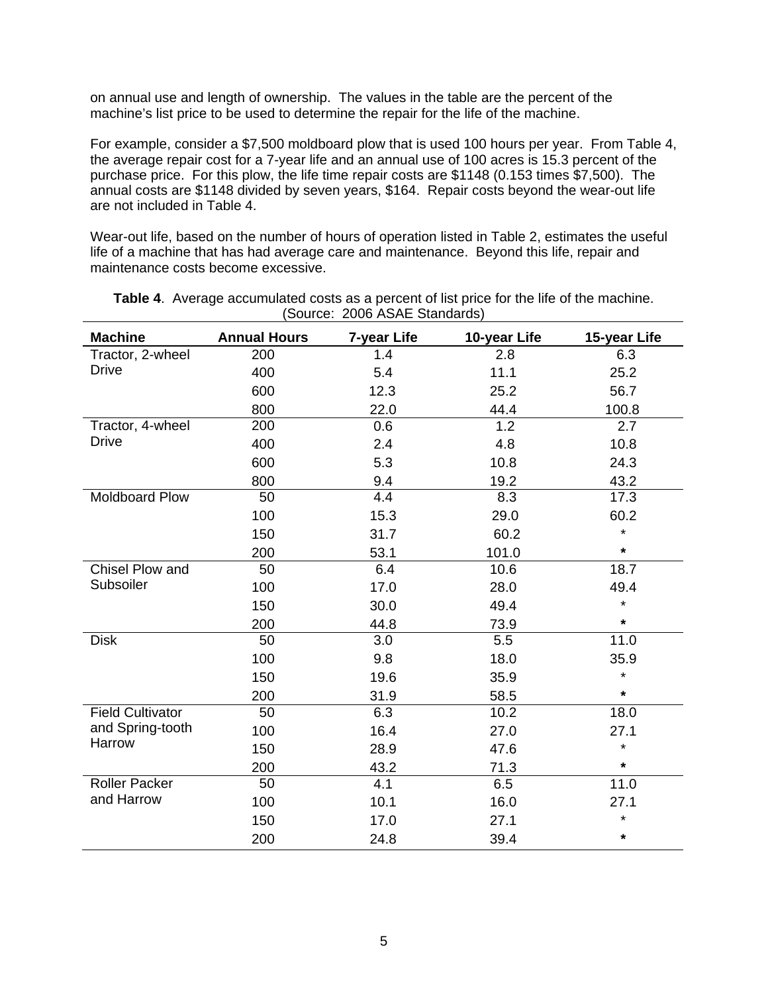on annual use and length of ownership. The values in the table are the percent of the machine's list price to be used to determine the repair for the life of the machine.

For example, consider a \$7,500 moldboard plow that is used 100 hours per year. From Table 4, the average repair cost for a 7-year life and an annual use of 100 acres is 15.3 percent of the purchase price. For this plow, the life time repair costs are \$1148 (0.153 times \$7,500). The annual costs are \$1148 divided by seven years, \$164. Repair costs beyond the wear-out life are not included in Table 4.

Wear-out life, based on the number of hours of operation listed in Table 2, estimates the useful life of a machine that has had average care and maintenance. Beyond this life, repair and maintenance costs become excessive.

| <b>Machine</b>          | <b>Annual Hours</b> | 7-year Life | 10-year Life | 15-year Life |
|-------------------------|---------------------|-------------|--------------|--------------|
| Tractor, 2-wheel        | 200                 | 1.4         | 2.8          | 6.3          |
| <b>Drive</b>            | 400                 | 5.4         | 11.1         | 25.2         |
|                         | 600                 | 12.3        | 25.2         | 56.7         |
|                         | 800                 | 22.0        | 44.4         | 100.8        |
| Tractor, 4-wheel        | 200                 | 0.6         | 1.2          | 2.7          |
| <b>Drive</b>            | 400                 | 2.4         | 4.8          | 10.8         |
|                         | 600                 | 5.3         | 10.8         | 24.3         |
|                         | 800                 | 9.4         | 19.2         | 43.2         |
| Moldboard Plow          | 50                  | 4.4         | 8.3          | 17.3         |
|                         | 100                 | 15.3        | 29.0         | 60.2         |
|                         | 150                 | 31.7        | 60.2         | $\star$      |
|                         | 200                 | 53.1        | 101.0        | $\star$      |
| <b>Chisel Plow and</b>  | 50                  | 6.4         | 10.6         | 18.7         |
| Subsoiler               | 100                 | 17.0        | 28.0         | 49.4         |
|                         | 150                 | 30.0        | 49.4         | $\star$      |
|                         | 200                 | 44.8        | 73.9         | $\star$      |
| <b>Disk</b>             | 50                  | 3.0         | 5.5          | 11.0         |
|                         | 100                 | 9.8         | 18.0         | 35.9         |
|                         | 150                 | 19.6        | 35.9         | $\star$      |
|                         | 200                 | 31.9        | 58.5         | $\star$      |
| <b>Field Cultivator</b> | 50                  | 6.3         | 10.2         | 18.0         |
| and Spring-tooth        | 100                 | 16.4        | 27.0         | 27.1         |
| Harrow                  | 150                 | 28.9        | 47.6         | $\star$      |
|                         | 200                 | 43.2        | 71.3         | $\star$      |
| <b>Roller Packer</b>    | 50                  | 4.1         | 6.5          | 11.0         |
| and Harrow              | 100                 | 10.1        | 16.0         | 27.1         |
|                         | 150                 | 17.0        | 27.1         | $\star$      |
|                         | 200                 | 24.8        | 39.4         | $\star$      |

**Table 4**. Average accumulated costs as a percent of list price for the life of the machine. (Source: 2006 ASAE Standards)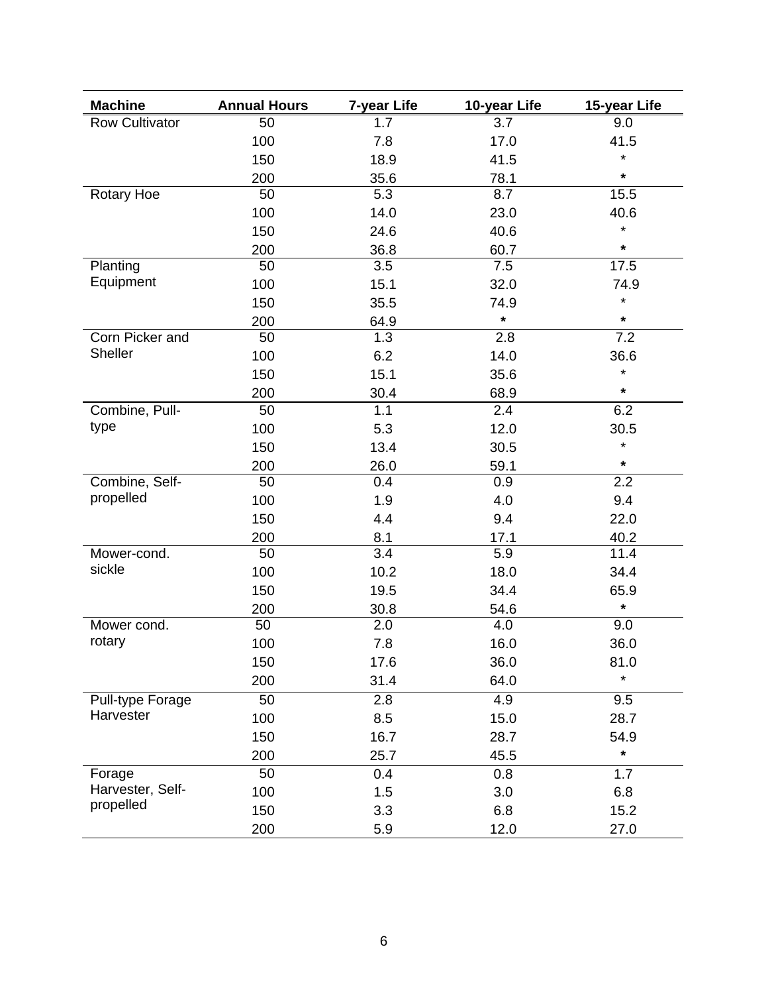| <b>Machine</b>        | <b>Annual Hours</b> | 7-year Life      | 10-year Life | 15-year Life |
|-----------------------|---------------------|------------------|--------------|--------------|
| <b>Row Cultivator</b> | 50                  | 1.7              | 3.7          | 9.0          |
|                       | 100                 | 7.8              | 17.0         | 41.5         |
|                       | 150                 | 18.9             | 41.5         | $\star$      |
|                       | 200                 | 35.6             | 78.1         | $\star$      |
| <b>Rotary Hoe</b>     | 50                  | 5.3              | 8.7          | 15.5         |
|                       | 100                 | 14.0             | 23.0         | 40.6         |
|                       | 150                 | 24.6             | 40.6         | $\star$      |
|                       | 200                 | 36.8             | 60.7         | $\star$      |
| Planting              | 50                  | 3.5              | 7.5          | 17.5         |
| Equipment             | 100                 | 15.1             | 32.0         | 74.9         |
|                       | 150                 | 35.5             | 74.9         | $\star$      |
|                       | 200                 | 64.9             | *            | $\star$      |
| Corn Picker and       | 50                  | 1.3              | 2.8          | 7.2          |
| Sheller               | 100                 | 6.2              | 14.0         | 36.6         |
|                       | 150                 | 15.1             | 35.6         | $\star$      |
|                       | 200                 | 30.4             | 68.9         | $\star$      |
| Combine, Pull-        | 50                  | 1.1              | 2.4          | 6.2          |
| type                  | 100                 | 5.3              | 12.0         | 30.5         |
|                       | 150                 | 13.4             | 30.5         | $\star$      |
|                       | 200                 | 26.0             | 59.1         | $\star$      |
| Combine, Self-        | 50                  | 0.4              | 0.9          | 2.2          |
| propelled             | 100                 | 1.9              | 4.0          | 9.4          |
|                       | 150                 | 4.4              | 9.4          | 22.0         |
|                       | 200                 | 8.1              | 17.1         | 40.2         |
| Mower-cond.           | 50                  | 3.4              | 5.9          | 11.4         |
| sickle                | 100                 | 10.2             | 18.0         | 34.4         |
|                       | 150                 | 19.5             | 34.4         | 65.9         |
|                       | 200                 | 30.8             | 54.6         | $\star$      |
| Mower cond.           | 50                  | 2.0              | 4.0          | 9.0          |
| rotary                | 100                 | 7.8              | 16.0         | 36.0         |
|                       | 150                 | 17.6             | 36.0         | 81.0         |
|                       | 200                 | 31.4             | 64.0         | $\star$      |
| Pull-type Forage      | 50                  | $\overline{2.8}$ | 4.9          | 9.5          |
| Harvester             | 100                 | 8.5              | 15.0         | 28.7         |
|                       | 150                 | 16.7             | 28.7         | 54.9         |
|                       | 200                 | 25.7             | 45.5         | $\star$      |
| Forage                | 50                  | 0.4              | 0.8          | 1.7          |
| Harvester, Self-      | 100                 | 1.5              | 3.0          | 6.8          |
| propelled             | 150                 | 3.3              | 6.8          | 15.2         |
|                       | 200                 | 5.9              | 12.0         | 27.0         |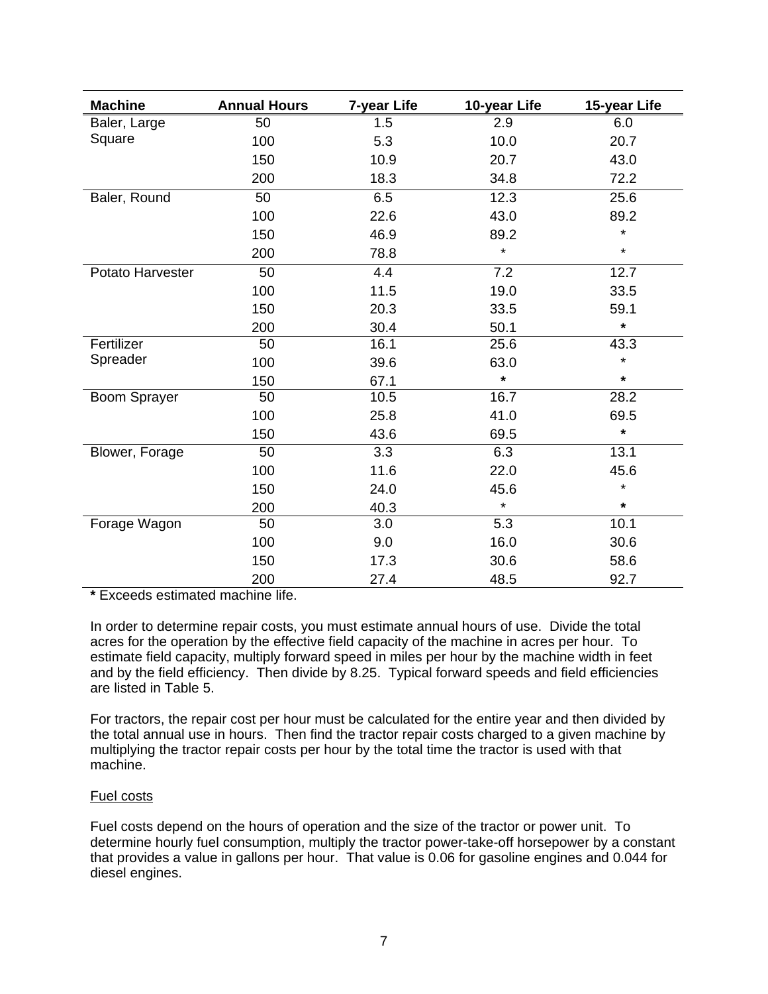| <b>Machine</b>      | <b>Annual Hours</b> | 7-year Life | 10-year Life | 15-year Life |
|---------------------|---------------------|-------------|--------------|--------------|
| Baler, Large        | 50                  | 1.5         | 2.9          | 6.0          |
| Square              | 100                 | 5.3         | 10.0         | 20.7         |
|                     | 150                 | 10.9        | 20.7         | 43.0         |
|                     | 200                 | 18.3        | 34.8         | 72.2         |
| Baler, Round        | 50                  | 6.5         | 12.3         | 25.6         |
|                     | 100                 | 22.6        | 43.0         | 89.2         |
|                     | 150                 | 46.9        | 89.2         | $\star$      |
|                     | 200                 | 78.8        | $\star$      | $\star$      |
| Potato Harvester    | 50                  | 4.4         | 7.2          | 12.7         |
|                     | 100                 | 11.5        | 19.0         | 33.5         |
|                     | 150                 | 20.3        | 33.5         | 59.1         |
|                     | 200                 | 30.4        | 50.1         | $\star$      |
| Fertilizer          | 50                  | 16.1        | 25.6         | 43.3         |
| Spreader            | 100                 | 39.6        | 63.0         | $\star$      |
|                     | 150                 | 67.1        | $\star$      | $\star$      |
| <b>Boom Sprayer</b> | 50                  | 10.5        | 16.7         | 28.2         |
|                     | 100                 | 25.8        | 41.0         | 69.5         |
|                     | 150                 | 43.6        | 69.5         | $\star$      |
| Blower, Forage      | 50                  | 3.3         | 6.3          | 13.1         |
|                     | 100                 | 11.6        | 22.0         | 45.6         |
|                     | 150                 | 24.0        | 45.6         | $\star$      |
|                     | 200                 | 40.3        | $\star$      | $\star$      |
| Forage Wagon        | 50                  | 3.0         | 5.3          | 10.1         |
|                     | 100                 | 9.0         | 16.0         | 30.6         |
|                     | 150                 | 17.3        | 30.6         | 58.6         |
|                     | 200                 | 27.4        | 48.5         | 92.7         |

**\*** Exceeds estimated machine life.

In order to determine repair costs, you must estimate annual hours of use. Divide the total acres for the operation by the effective field capacity of the machine in acres per hour. To estimate field capacity, multiply forward speed in miles per hour by the machine width in feet and by the field efficiency. Then divide by 8.25. Typical forward speeds and field efficiencies are listed in Table 5.

For tractors, the repair cost per hour must be calculated for the entire year and then divided by the total annual use in hours. Then find the tractor repair costs charged to a given machine by multiplying the tractor repair costs per hour by the total time the tractor is used with that machine.

# Fuel costs

Fuel costs depend on the hours of operation and the size of the tractor or power unit. To determine hourly fuel consumption, multiply the tractor power-take-off horsepower by a constant that provides a value in gallons per hour. That value is 0.06 for gasoline engines and 0.044 for diesel engines.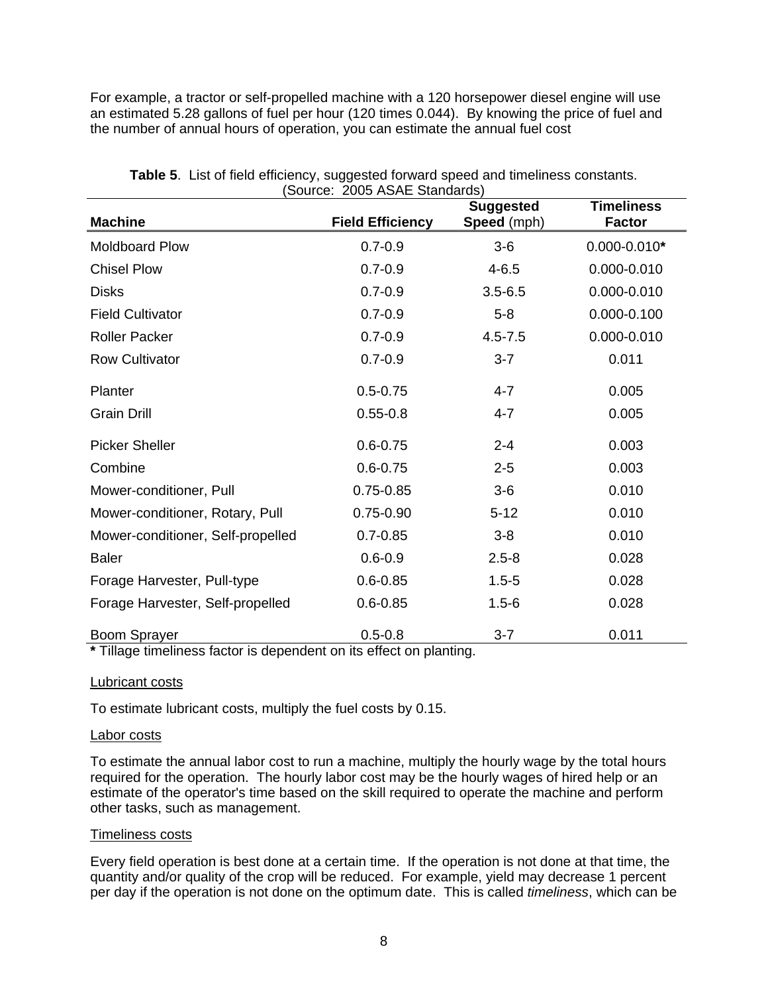For example, a tractor or self-propelled machine with a 120 horsepower diesel engine will use an estimated 5.28 gallons of fuel per hour (120 times 0.044). By knowing the price of fuel and the number of annual hours of operation, you can estimate the annual fuel cost

|                                   | $\frac{1}{2}$           | <b>Suggested</b>   | <b>Timeliness</b> |
|-----------------------------------|-------------------------|--------------------|-------------------|
| <b>Machine</b>                    | <b>Field Efficiency</b> | <b>Speed</b> (mph) | <b>Factor</b>     |
| <b>Moldboard Plow</b>             | $0.7 - 0.9$             | $3-6$              | $0.000 - 0.010*$  |
| <b>Chisel Plow</b>                | $0.7 - 0.9$             | $4 - 6.5$          | 0.000-0.010       |
| <b>Disks</b>                      | $0.7 - 0.9$             | $3.5 - 6.5$        | 0.000-0.010       |
| <b>Field Cultivator</b>           | $0.7 - 0.9$             | $5-8$              | $0.000 - 0.100$   |
| <b>Roller Packer</b>              | $0.7 - 0.9$             | $4.5 - 7.5$        | 0.000-0.010       |
| <b>Row Cultivator</b>             | $0.7 - 0.9$             | $3 - 7$            | 0.011             |
| Planter                           | $0.5 - 0.75$            | $4 - 7$            | 0.005             |
| <b>Grain Drill</b>                | $0.55 - 0.8$            | $4 - 7$            | 0.005             |
| <b>Picker Sheller</b>             | $0.6 - 0.75$            | $2 - 4$            | 0.003             |
| Combine                           | $0.6 - 0.75$            | $2 - 5$            | 0.003             |
| Mower-conditioner, Pull           | $0.75 - 0.85$           | $3-6$              | 0.010             |
| Mower-conditioner, Rotary, Pull   | $0.75 - 0.90$           | $5 - 12$           | 0.010             |
| Mower-conditioner, Self-propelled | $0.7 - 0.85$            | $3 - 8$            | 0.010             |
| <b>Baler</b>                      | $0.6 - 0.9$             | $2.5 - 8$          | 0.028             |
| Forage Harvester, Pull-type       | $0.6 - 0.85$            | $1.5 - 5$          | 0.028             |
| Forage Harvester, Self-propelled  | $0.6 - 0.85$            | $1.5 - 6$          | 0.028             |
| <b>Boom Sprayer</b>               | $0.5 - 0.8$             | $3 - 7$            | 0.011             |

**Table 5**. List of field efficiency, suggested forward speed and timeliness constants. (Source: 2005 ASAE Standards)

**\*** Tillage timeliness factor is dependent on its effect on planting.

### Lubricant costs

To estimate lubricant costs, multiply the fuel costs by 0.15.

### Labor costs

To estimate the annual labor cost to run a machine, multiply the hourly wage by the total hours required for the operation. The hourly labor cost may be the hourly wages of hired help or an estimate of the operator's time based on the skill required to operate the machine and perform other tasks, such as management.

### Timeliness costs

Every field operation is best done at a certain time. If the operation is not done at that time, the quantity and/or quality of the crop will be reduced. For example, yield may decrease 1 percent per day if the operation is not done on the optimum date. This is called *timeliness*, which can be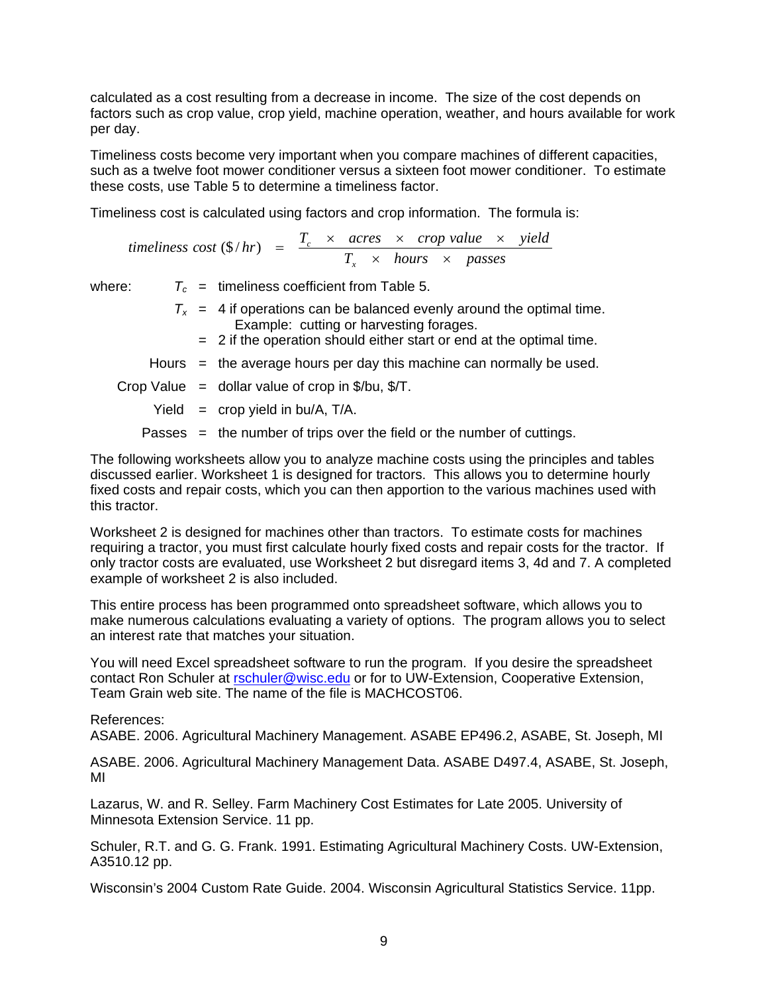calculated as a cost resulting from a decrease in income. The size of the cost depends on factors such as crop value, crop yield, machine operation, weather, and hours available for work per day.

Timeliness costs become very important when you compare machines of different capacities, such as a twelve foot mower conditioner versus a sixteen foot mower conditioner. To estimate these costs, use Table 5 to determine a timeliness factor.

Timeliness cost is calculated using factors and crop information. The formula is:

*timeliness cost* (\$/hr) = 
$$
\frac{T_c \times \text{ acres} \times \text{ crop value} \times \text{ yield}}{T_x \times \text{ hours} \times \text{ passes}}
$$

where:  $T_c$  = timeliness coefficient from Table 5.

- $T_x$  = 4 if operations can be balanced evenly around the optimal time. Example: cutting or harvesting forages.
	- = 2 if the operation should either start or end at the optimal time.
- Hours  $=$  the average hours per day this machine can normally be used.

Crop Value  $=$  dollar value of crop in \$/bu, \$/T.

- Yield  $=$  crop yield in bu/A, T/A.
- Passes = the number of trips over the field or the number of cuttings.

The following worksheets allow you to analyze machine costs using the principles and tables discussed earlier. Worksheet 1 is designed for tractors. This allows you to determine hourly fixed costs and repair costs, which you can then apportion to the various machines used with this tractor.

Worksheet 2 is designed for machines other than tractors. To estimate costs for machines requiring a tractor, you must first calculate hourly fixed costs and repair costs for the tractor. If only tractor costs are evaluated, use Worksheet 2 but disregard items 3, 4d and 7. A completed example of worksheet 2 is also included.

This entire process has been programmed onto spreadsheet software, which allows you to make numerous calculations evaluating a variety of options. The program allows you to select an interest rate that matches your situation.

You will need Excel spreadsheet software to run the program. If you desire the spreadsheet contact Ron Schuler at [rschuler@wisc.edu](mailto:rschuler@wisc.edu) or for to UW-Extension, Cooperative Extension, Team Grain web site. The name of the file is MACHCOST06.

References:

ASABE. 2006. Agricultural Machinery Management. ASABE EP496.2, ASABE, St. Joseph, MI

ASABE. 2006. Agricultural Machinery Management Data. ASABE D497.4, ASABE, St. Joseph, MI

Lazarus, W. and R. Selley. Farm Machinery Cost Estimates for Late 2005. University of Minnesota Extension Service. 11 pp.

Schuler, R.T. and G. G. Frank. 1991. Estimating Agricultural Machinery Costs. UW-Extension, A3510.12 pp.

Wisconsin's 2004 Custom Rate Guide. 2004. Wisconsin Agricultural Statistics Service. 11pp.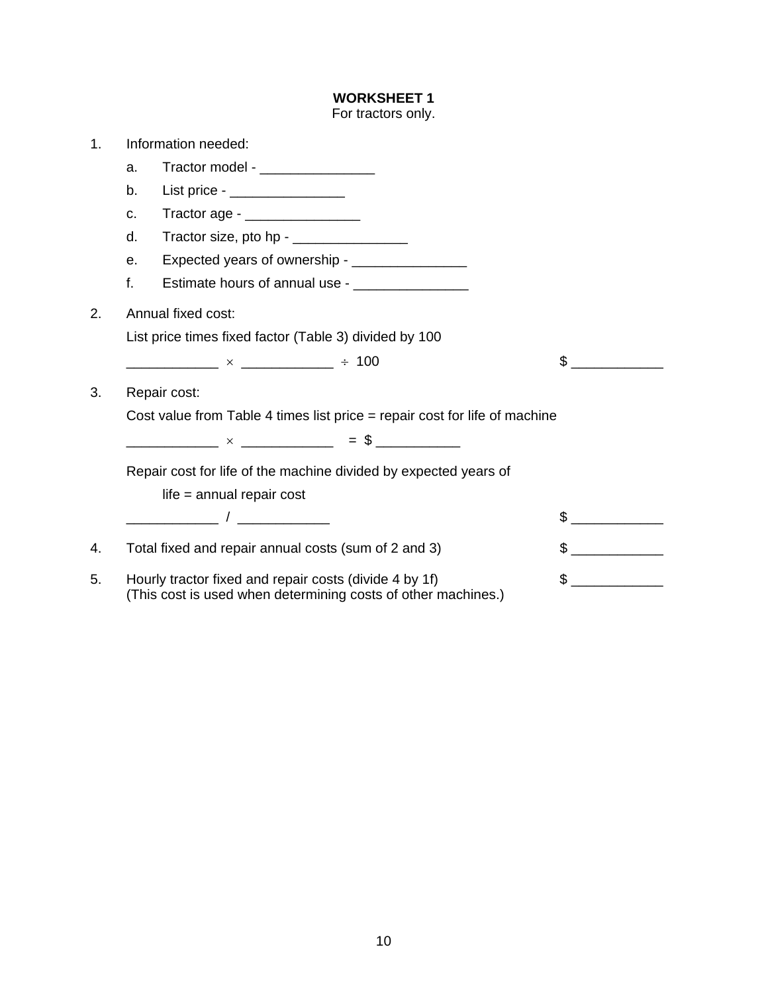For tractors only. 1. Information needed: a. Tractor model b. List price - \_\_\_\_\_\_\_\_\_\_\_\_\_\_\_ c. Tractor age - \_\_\_\_\_\_\_\_\_\_\_\_\_\_\_ d. Tractor size, pto hp - \_\_\_\_\_\_\_\_\_\_\_\_\_\_\_ e. Expected years of ownership - \_\_\_\_\_\_\_\_\_\_\_\_\_\_\_ f. Estimate hours of annual use -2. Annual fixed cost: List price times fixed factor (Table 3) divided by 100 \_\_\_\_\_\_\_\_\_\_\_\_ × \_\_\_\_\_\_\_\_\_\_\_\_ ÷ 100 \$ \_\_\_\_\_\_\_\_\_\_\_\_ 3. Repair cost: Cost value from Table 4 times list price = repair cost for life of machine  $\longrightarrow$   $\times$   $\longrightarrow$   $\longrightarrow$   $\qquad =$  \$  $\longrightarrow$  Repair cost for life of the machine divided by expected years of life = annual repair cost \_\_\_\_\_\_\_\_\_\_\_\_ / \_\_\_\_\_\_\_\_\_\_\_\_ \$ \_\_\_\_\_\_\_\_\_\_\_\_ 4. Total fixed and repair annual costs (sum of 2 and 3)  $\frac{1}{2}$ 5. Hourly tractor fixed and repair costs (divide 4 by 1f)  $\qquad$ (This cost is used when determining costs of other machines.)

**WORKSHEET 1**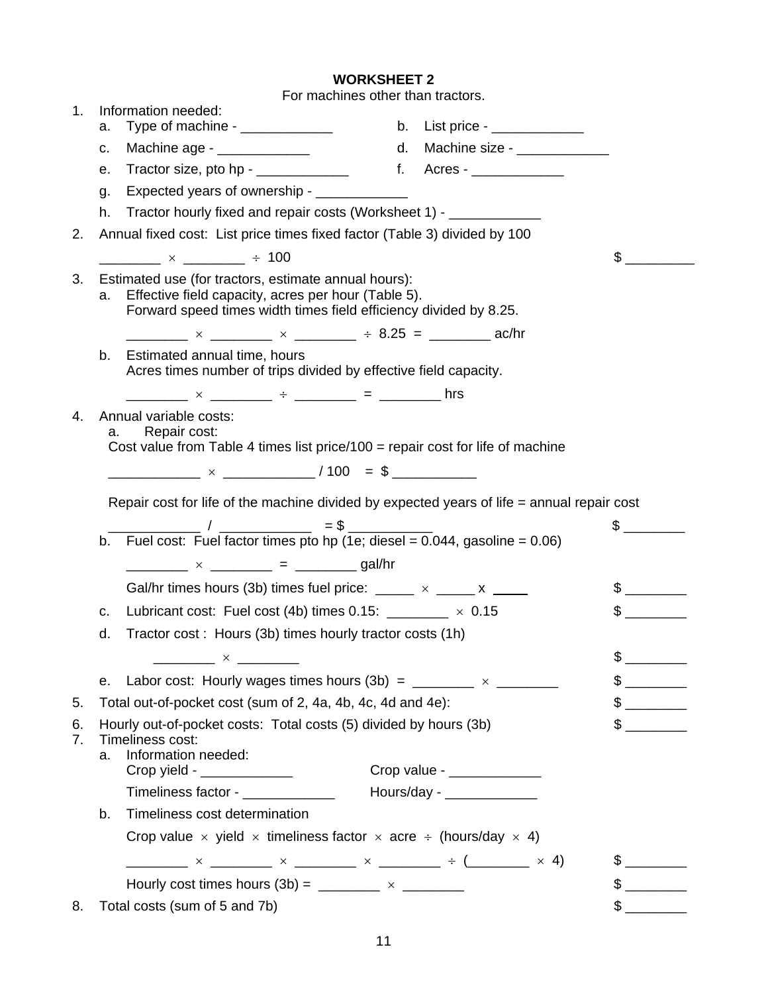|          | NUNNJNEEI Z                                                                                                                                                                                                                                                                                                                                                                                                                                                                       |              |                               |               |
|----------|-----------------------------------------------------------------------------------------------------------------------------------------------------------------------------------------------------------------------------------------------------------------------------------------------------------------------------------------------------------------------------------------------------------------------------------------------------------------------------------|--------------|-------------------------------|---------------|
| 1.       | For machines other than tractors.<br>Information needed:                                                                                                                                                                                                                                                                                                                                                                                                                          |              |                               |               |
| a.       | Type of machine - ____________                                                                                                                                                                                                                                                                                                                                                                                                                                                    |              | b. List price - $\frac{1}{2}$ |               |
| c.       | Machine age - ______________                                                                                                                                                                                                                                                                                                                                                                                                                                                      | d.           | Machine size - ______________ |               |
| е.       | Tractor size, pto hp - $\frac{1}{2}$                                                                                                                                                                                                                                                                                                                                                                                                                                              | $f_{\rm{r}}$ | Acres - ______________        |               |
| g.       | Expected years of ownership - _____________                                                                                                                                                                                                                                                                                                                                                                                                                                       |              |                               |               |
| h.       | Tractor hourly fixed and repair costs (Worksheet 1) - ____________                                                                                                                                                                                                                                                                                                                                                                                                                |              |                               |               |
| 2.       | Annual fixed cost: List price times fixed factor (Table 3) divided by 100                                                                                                                                                                                                                                                                                                                                                                                                         |              |                               |               |
|          | $\frac{1}{2}$ $\times$ $\frac{1}{2}$ $\frac{1}{2}$ $\frac{1}{2}$ $\frac{1}{2}$ $\frac{1}{2}$ $\frac{1}{2}$ $\frac{1}{2}$ $\frac{1}{2}$ $\frac{1}{2}$ $\frac{1}{2}$ $\frac{1}{2}$ $\frac{1}{2}$ $\frac{1}{2}$ $\frac{1}{2}$ $\frac{1}{2}$ $\frac{1}{2}$ $\frac{1}{2}$ $\frac{1}{2}$ $\frac{1}{2}$ $\frac{1}{2}$ $\frac{1}{$                                                                                                                                                        |              |                               | $\sim$        |
| 3.       | Estimated use (for tractors, estimate annual hours):<br>a. Effective field capacity, acres per hour (Table 5).<br>Forward speed times width times field efficiency divided by 8.25.                                                                                                                                                                                                                                                                                               |              |                               |               |
|          | $\frac{1}{2}$ × $\frac{1}{2}$ × $\frac{1}{2}$ × $\frac{1}{2}$ ÷ 8.25 = $\frac{1}{2}$ ac/hr                                                                                                                                                                                                                                                                                                                                                                                        |              |                               |               |
| b.       | Estimated annual time, hours<br>Acres times number of trips divided by effective field capacity.                                                                                                                                                                                                                                                                                                                                                                                  |              |                               |               |
|          | _________ × ________ ÷ ________ = _______ hrs                                                                                                                                                                                                                                                                                                                                                                                                                                     |              |                               |               |
| 4.       | Annual variable costs:                                                                                                                                                                                                                                                                                                                                                                                                                                                            |              |                               |               |
|          | Repair cost:<br>a.<br>Cost value from Table 4 times list price/100 = repair cost for life of machine                                                                                                                                                                                                                                                                                                                                                                              |              |                               |               |
|          |                                                                                                                                                                                                                                                                                                                                                                                                                                                                                   |              |                               |               |
|          |                                                                                                                                                                                                                                                                                                                                                                                                                                                                                   |              |                               |               |
|          | Repair cost for life of the machine divided by expected years of life = annual repair cost                                                                                                                                                                                                                                                                                                                                                                                        |              |                               |               |
|          |                                                                                                                                                                                                                                                                                                                                                                                                                                                                                   |              |                               | $\frac{1}{2}$ |
|          | b. Fuel cost: Fuel factor times pto hp (1e; diesel = $0.044$ , gasoline = $0.06$ )                                                                                                                                                                                                                                                                                                                                                                                                |              |                               |               |
|          | _________ × ________ = ________ gal/hr                                                                                                                                                                                                                                                                                                                                                                                                                                            |              |                               |               |
|          | Gal/hr times hours (3b) times fuel price: $\frac{1}{2}$ x $\frac{1}{2}$ x $\frac{1}{2}$                                                                                                                                                                                                                                                                                                                                                                                           |              |                               | $\frac{1}{2}$ |
| c.       | Lubricant cost: Fuel cost (4b) times 0.15: $\frac{1}{2}$ × 0.15                                                                                                                                                                                                                                                                                                                                                                                                                   |              |                               | $\sim$        |
| d.       | Tractor cost: Hours (3b) times hourly tractor costs (1h)                                                                                                                                                                                                                                                                                                                                                                                                                          |              |                               |               |
|          | $\times$ $\times$                                                                                                                                                                                                                                                                                                                                                                                                                                                                 |              |                               | \$            |
|          | Labor cost: Hourly wages times hours (3b) = $\frac{1}{2}$ x $\frac{1}{2}$<br>е.                                                                                                                                                                                                                                                                                                                                                                                                   |              |                               |               |
| 5.       | Total out-of-pocket cost (sum of 2, 4a, 4b, 4c, 4d and 4e):                                                                                                                                                                                                                                                                                                                                                                                                                       |              |                               |               |
| 6.<br>7. | Hourly out-of-pocket costs: Total costs (5) divided by hours (3b)<br>Timeliness cost:                                                                                                                                                                                                                                                                                                                                                                                             |              |                               | \$            |
| a.       | Information needed:                                                                                                                                                                                                                                                                                                                                                                                                                                                               |              |                               |               |
|          | $Crop$ yield - ______________                                                                                                                                                                                                                                                                                                                                                                                                                                                     |              | Crop value - _______________  |               |
|          | Timeliness factor -                                                                                                                                                                                                                                                                                                                                                                                                                                                               |              | Hours/day - $\frac{1}{2}$     |               |
| b.       | Timeliness cost determination                                                                                                                                                                                                                                                                                                                                                                                                                                                     |              |                               |               |
|          | Crop value $\times$ yield $\times$ timeliness factor $\times$ acre $\div$ (hours/day $\times$ 4)                                                                                                                                                                                                                                                                                                                                                                                  |              |                               |               |
|          | $\frac{1}{1} \times \frac{1}{1} \times \frac{1}{1} \times \frac{1}{1} \times \frac{1}{1} \times \frac{1}{1} \times \frac{1}{1} \times \frac{1}{1} \times \frac{1}{1} \times \frac{1}{1} \times \frac{1}{1} \times \frac{1}{1} \times \frac{1}{1} \times \frac{1}{1} \times \frac{1}{1} \times \frac{1}{1} \times \frac{1}{1} \times \frac{1}{1} \times \frac{1}{1} \times \frac{1}{1} \times \frac{1}{1} \times \frac{1}{1} \times \frac{1}{1} \times \frac{1}{1} \times \frac{1$ |              |                               | $\frac{1}{2}$ |
|          | Hourly cost times hours $(3b) =$ _________ $\times$ ________                                                                                                                                                                                                                                                                                                                                                                                                                      |              |                               |               |
| 8.       | Total costs (sum of 5 and 7b)                                                                                                                                                                                                                                                                                                                                                                                                                                                     |              |                               |               |

**WORKSHEET 2**